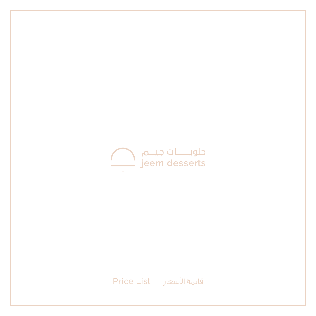

قائمة األسعار | List Price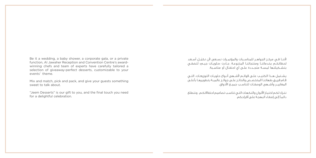Be it a wedding, a baby shower, a corporate gala, or a private function, Al Jawaher Reception and Convention Centre's awardwinning chefs and team of experts have carefully tailored a selection of giveaway-perfect desserts, customizable to your events' theme.

Mix and match, pick and pack, and give your guests something sweet to talk about.

"Jeem Desserts" is our gift to you, and the final touch you need for a delightful celebration.

لأننـا فـي مركــز الجواهــر للمناسـبات والمؤتمــرات نسـعى لأن نـكمّــل أســعـد لحظاتكــم بخدماتنــا ومنتجاتنــا المتنوعــة، جــاءت «حلويــات جيــم» لتضفــي بتشــكيلتها لمســة متجــددة علــى أي احتفــال أو مناســبة.

يشــتمل هــذا الكتيــب علــى قوائــم ألشــهى أنــواع حلويــات التوزيعــات، التــي قــام فريــق طهاتنــا المتخصــص والحائــز علــى جوائــز عالميــة بتطويرهــا بأعلــى المعاييــر وأشــهى الوصفــات لتناســب جميــع األذواق.

نتـرك لكـم اختيـار األلـوان والنكهـات التـي تناسـب تصاميم احتفاالتكـم، ونتطلع دائمـً إلـى إضفـاء البهجـة علـى أفراحكم.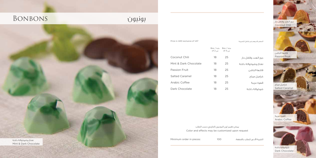# بونبون Bonbons



Coconut Chili 18 25 Mint & Dark Chocolate 18 25 Passion Fruit 18 25 Salted Caramel 18 25 Arabic Coffee 18 25 Dark Chocolate 18 25 جوز الهند وفلفل حار نعناع وشوكوالتة داكنة فاكهة الباشن كراميل مملح قهوة عربية شوكوالتة داكنة علبة / Box من 2 of علبة / Box من 4 of Price in AED exclusive of VAT للضريبة شامل غير بالدرهم السعر



Coconut Chili جوز الهند وفلفل حار

Arabic Coffee قهوة عربية



Color and effects may be customized upon request يمكن تغيير لون البونبون الخارجي حسب الطلب

Minimum order in pieces: 100

الكمية األدنى للطلب بالقطعة: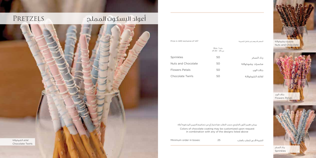# لفائف الشوكوالتة أعواد البسكوت اململح Pretzels

| Price in AFD exclusive of VAT |                             | السعر بالدرهم غبر شامل للضربية |
|-------------------------------|-----------------------------|--------------------------------|
|                               | Box / علية<br>من 25 - 20 of |                                |
| <b>Sprinkles</b>              | 50                          | رذاذ السكر                     |
| Nuts and Chocolate            | 50                          | مكسرات وشوكولاتة               |
| <b>Flowers Petals</b>         | 50                          | بتلات الورد                    |
| Chocolate Twirls              | 50                          | لفائف الشوكولاتة               |

Colors of chocolate coating may be customized upon request in combination with any of the designs listed above يمكن تغيير اللون الخارجي حسب الطلب مع اختيار أي من تصاميم التزيين المذكورة أعاله

الكمية األدنى للطلب بالعلب: 25 :boxes in order Minimum



Chocolate Twirls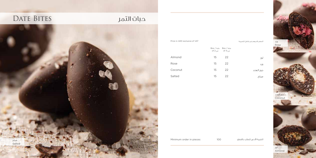# حبات التمر Bites Date



| Price in AED exclusive of VAT |    |                                     | لسعر بالدرهم غير شامل للضريبة |  |
|-------------------------------|----|-------------------------------------|-------------------------------|--|
|                               |    | Box / علية / Box<br>من of 4 من of 2 |                               |  |
| Almond                        | 15 | 22                                  | بوز                           |  |
| Rose                          | 15 | 22                                  | ورد                           |  |
| Coconut                       | 15 | 22                                  | جوز الهند                     |  |
| Salted                        | 15 | 22                                  | عملح                          |  |





Almond لوز

Coconut جوز الهند

Rose ورد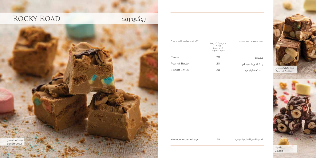# روكي رود محمد العالم ROCKY ROAD



| Price in AFD exclusive of VAT | کیس من / Bag of<br>100a<br>9 حيات تقريباً<br>approx. 9 pcs | السعر بالدرهم غير شامل للضريبة |
|-------------------------------|------------------------------------------------------------|--------------------------------|
| Classic                       | 20                                                         | كلاسىك                         |
| Peanut Butter                 | 20                                                         | زبدة الفول السودانى            |
| <b>Biscoff Lotus</b>          | 20                                                         | بيسكوف لوتيس                   |



الكمية األدنى للطلب باألكياس: 25 :bags in order Minimum

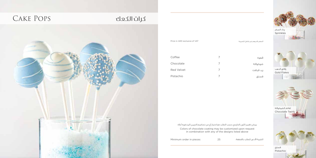# كرات الكعك Pops Cake



Coffee 7 Chocolate 7 Red Velvet 7 Pistachio 7 قهوة شوكوالتة ريد فيلفت فستق Price in AED exclusive of VAT للضريبة شامل غير بالدرهم السعر

Colors of chocolate coating may be customized upon request in combination with any of the designs listed above يمكن تغيير اللون الخارجي حسب الطلب مع اختيار أي من تصاميم التزيين المذكورة أعاله

الكمية األدنى للطلب بالقطعة: 25 :pieces in order Minimum



Sprinkles رذاذ السكر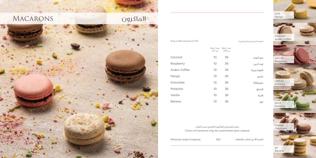# املاكرون Macarons



Price in AED exclusive of VAT للضريبة شامل غير بالدرهم السعر

|               | علية / Box<br>of 1 من | علية / Box<br>من of 6 |            |
|---------------|-----------------------|-----------------------|------------|
| Coconut       | 10                    | 36                    | جوز الهند  |
| Raspberry     | 10                    | 36                    | توت أحمر   |
| Arabic Coffee | 10                    | 36                    | قهوة عربية |
| Mango         | 10                    | 36                    | مانجو      |
| Chocolate     | 10                    | 36                    | شوكولاتة   |
| Pistachio     | 10                    | 36                    | فستق       |
| Vanilla       | 10                    | 36                    | فانىلا     |
| Banana        | 10                    | 36                    | موز        |

Colors of macarons may be customized upon request يمكن تغيير لون الماكرون الخارجي حسب الطلب

الكمية الأدنى للطلب بالقطعة: 100 Minimum order in pieces: الكمية الأدنى للطلب بالقطعة:

Banana موز

Coconut جوز الهند

Raspberry توت أحمر

Pistachio فستق

Chocolate شوكوالتة

.<br>Mango مانجو

Arabic Coffee قهوة عربية